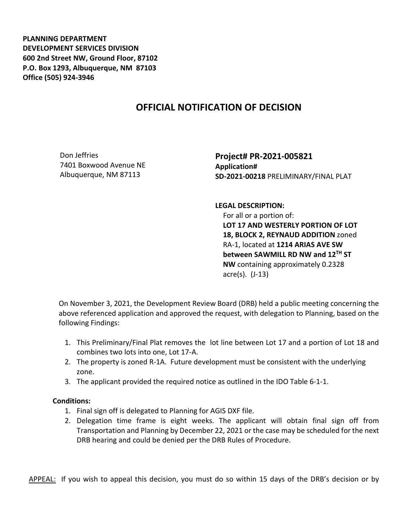**PLANNING DEPARTMENT DEVELOPMENT SERVICES DIVISION 600 2nd Street NW, Ground Floor, 87102 P.O. Box 1293, Albuquerque, NM 87103 Office (505) 924-3946** 

## **OFFICIAL NOTIFICATION OF DECISION**

Don Jeffries 7401 Boxwood Avenue NE Albuquerque, NM 87113

**Project# PR-2021-005821 Application# SD-2021-00218** PRELIMINARY/FINAL PLAT

**LEGAL DESCRIPTION:**

 For all or a portion of: **LOT 17 AND WESTERLY PORTION OF LOT 18, BLOCK 2, REYNAUD ADDITION** zoned RA-1, located at **1214 ARIAS AVE SW between SAWMILL RD NW and 12TH ST NW** containing approximately 0.2328 acre(s). (J-13)

On November 3, 2021, the Development Review Board (DRB) held a public meeting concerning the above referenced application and approved the request, with delegation to Planning, based on the following Findings:

- 1. This Preliminary/Final Plat removes the lot line between Lot 17 and a portion of Lot 18 and combines two lots into one, Lot 17-A.
- 2. The property is zoned R-1A. Future development must be consistent with the underlying zone.
- 3. The applicant provided the required notice as outlined in the IDO Table 6-1-1.

## **Conditions:**

- 1. Final sign off is delegated to Planning for AGIS DXF file.
- 2. Delegation time frame is eight weeks. The applicant will obtain final sign off from Transportation and Planning by December 22, 2021 or the case may be scheduled for the next DRB hearing and could be denied per the DRB Rules of Procedure.

APPEAL: If you wish to appeal this decision, you must do so within 15 days of the DRB's decision or by